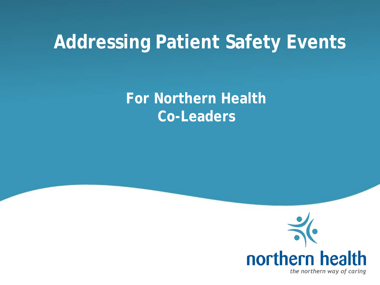#### **Addressing Patient Safety Events**

#### **For Northern Health Co-Leaders**

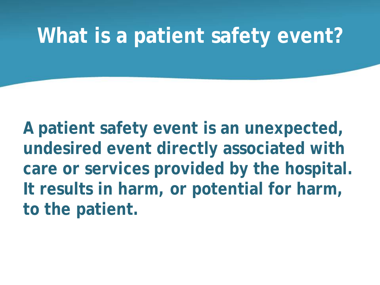#### **What is a patient safety event?**

**A patient safety event is an unexpected, undesired event directly associated with care or services provided by the hospital. It results in harm, or potential for harm, to the patient.**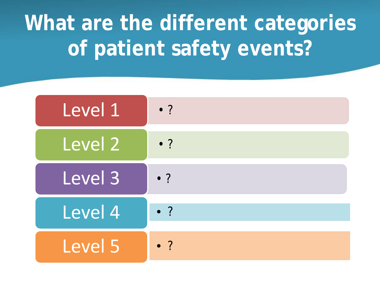# **What are the different categories of patient safety events?**

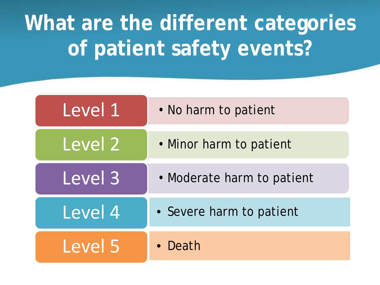# **What are the different categories of patient safety events?**

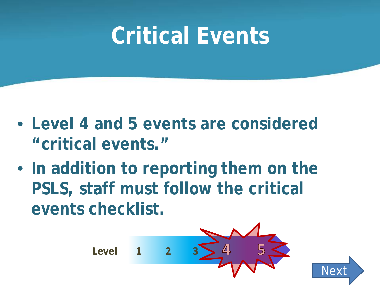# **Critical Events**

- **Level 4 and 5 events are considered "critical events."**
- **In addition to reporting them on the PSLS, staff must follow the critical events checklist.**



**[Next](#page-5-0)**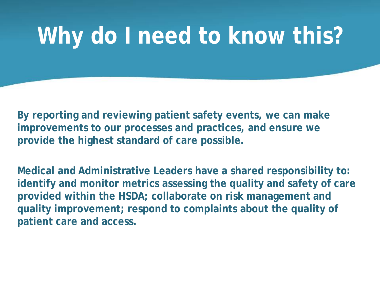# <span id="page-5-0"></span>**Why do I need to know this?**

**By reporting and reviewing patient safety events, we can make improvements to our processes and practices, and ensure we provide the highest standard of care possible.**

**Medical and Administrative Leaders have a shared responsibility to: identify and monitor metrics assessing the quality and safety of care provided within the HSDA; collaborate on risk management and quality improvement; respond to complaints about the quality of patient care and access.**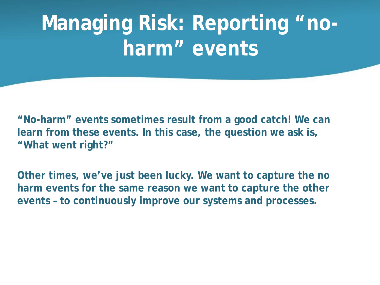# **Managing Risk: Reporting "noharm" events**

**"No-harm" events sometimes result from a good catch! We can learn from these events. In this case, the question we ask is, "What went right?"**

**Other times, we've just been lucky. We want to capture the no harm events for the same reason we want to capture the other events – to continuously improve our systems and processes.**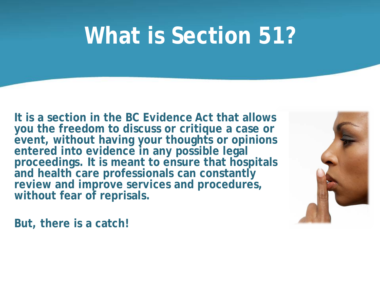# **What is Section 51?**

**It is a section in the BC Evidence Act that allows you the freedom to discuss or critique a case or event, without having your thoughts or opinions entered into evidence in any possible legal proceedings. It is meant to ensure that hospitals and health care professionals can constantly**  review and improve services and procedures, **without fear of reprisals.**



**But, there is a catch!**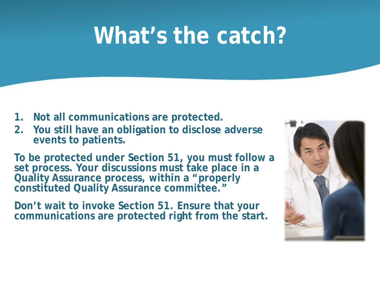# **What's the catch?**

- **1. Not all communications are protected.**
- **2. You still have an obligation to disclose adverse events to patients.**

**To be protected under Section 51, you must follow a set process. Your discussions must take place in a Quality Assurance process, within a "properly constituted Quality Assurance committee."**

**Don't wait to invoke Section 51. Ensure that your communications are protected right from the start.**

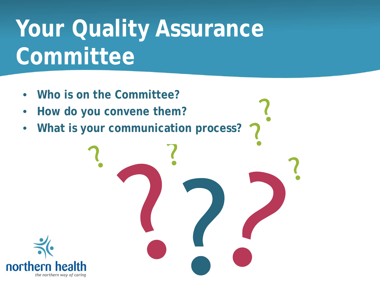# **Your Quality Assurance Committee**

- **Who is on the Committee?**
- **How do you convene them?**
- **What is your communication process?**

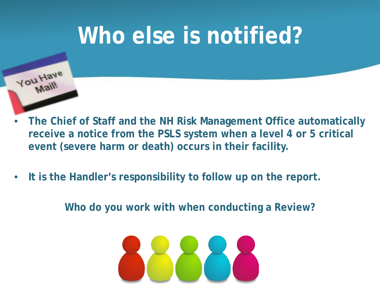# **Who else is notified?**



- **The Chief of Staff and the NH Risk Management Office automatically receive a notice from the PSLS system when a level 4 or 5 critical event (severe harm or death) occurs in their facility.**
- **It is the Handler's responsibility to follow up on the report.**

**Who do you work with when conducting a Review?**

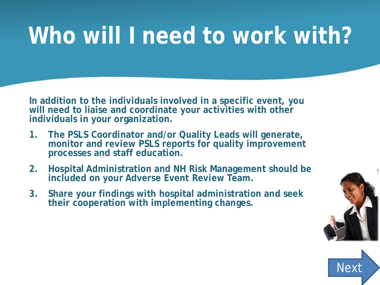# **Who will I need to work with?**

**In addition to the individuals involved in a specific event, you will need to liaise and coordinate your activities with other individuals in your organization.**

- **1. The PSLS Coordinator and/or Quality Leads will generate, monitor and review PSLS reports for quality improvement processes and staff education.**
- **2. Hospital Administration and NH Risk Management should be**  included on your Adverse Event Review Team.
- **3. Share your findings with hospital administration and seek their cooperation with implementing changes.**



**Nex**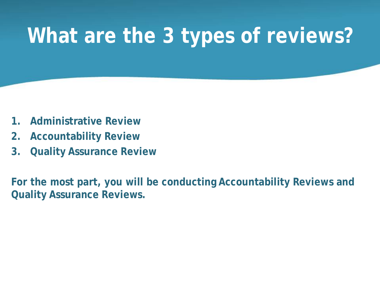### <span id="page-12-0"></span>**What are the 3 types of reviews?**

- **1. Administrative Review**
- **2. Accountability Review**
- **3. Quality Assurance Review**

**For the most part, you will be conducting Accountability Reviews and Quality Assurance Reviews.**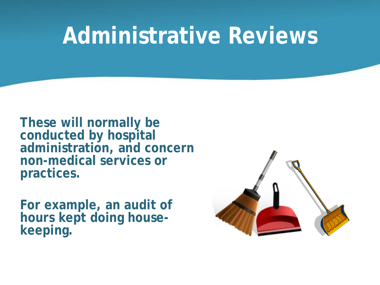### **Administrative Reviews**

**These will normally be conducted by hospital administration, and concern non-medical services or practices.** 

**For example, an audit of hours kept doing house- keeping.**

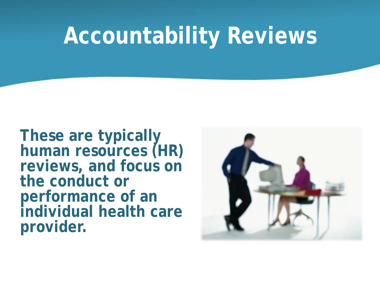# **Accountability Reviews**

**These are typically human resources (HR) reviews, and focus on the conduct or performance of an individual health care provider.**

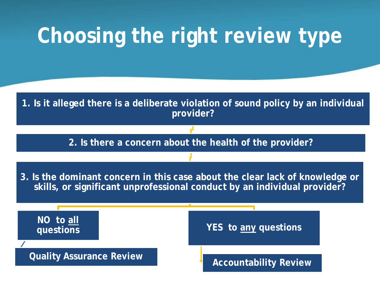# **Choosing the right review type**

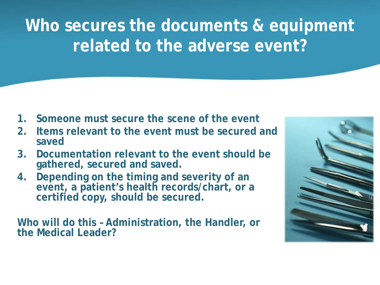**Who secures the documents & equipment related to the adverse event?**

- **1. Someone must secure the scene of the event**
- **2. Items relevant to the event must be secured and saved**
- **3. Documentation relevant to the event should be gathered, secured and saved.**
- **4. Depending on the timing and severity of an event, a patient's health records/chart, or a certified copy, should be secured.**

**Who will do this – Administration, the Handler, or the Medical Leader?**

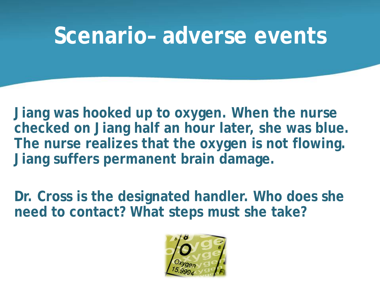### **Scenario– adverse events**

**Jiang was hooked up to oxygen. When the nurse checked on Jiang half an hour later, she was blue. The nurse realizes that the oxygen is not flowing. Jiang suffers permanent brain damage.** 

**Dr. Cross is the designated handler. Who does she need to contact? What steps must she take?** 

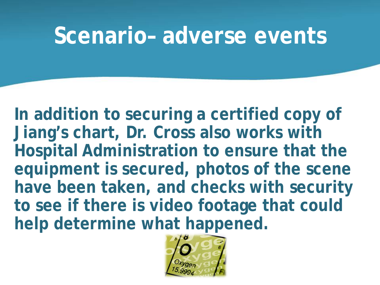#### **Scenario– adverse events**

**In addition to securing a certified copy of Jiang's chart, Dr. Cross also works with Hospital Administration to ensure that the equipment is secured, photos of the scene have been taken, and checks with security to see if there is video footage that could help determine what happened.**

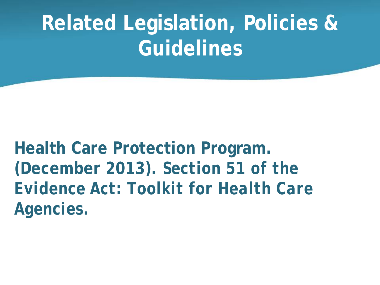# **Related Legislation, Policies & Guidelines**

**Health Care Protection Program. (December 2013).** *Section 51 of the Evidence Act: Toolkit for Health Care Agencies.*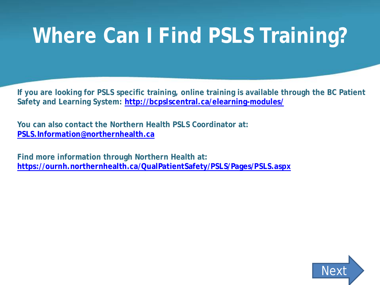# **Where Can I Find PSLS Training?**

**If you are looking for PSLS specific training, online training is available through the BC Patient Safety and Learning System:<http://bcpslscentral.ca/elearning-modules/>**

**You can also contact the Northern Health PSLS Coordinator at: [PSLS.Information@northernhealth.ca](mailto:PSLS.Information@northernhealth.ca)**

**Find more information through Northern Health at: <https://ournh.northernhealth.ca/QualPatientSafety/PSLS/Pages/PSLS.aspx>**

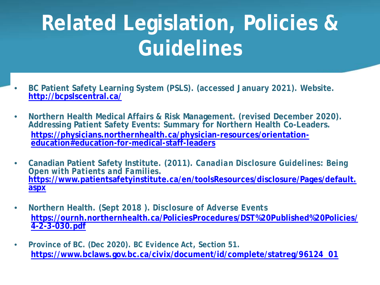# <span id="page-21-0"></span>**Related Legislation, Policies & Guidelines**

- **BC Patient Safety Learning System (PSLS). (accessed January 2021). Website. <http://bcpslscentral.ca/>**
- **Northern Health Medical Affairs & Risk Management. (revised December 2020). Addressing Patient Safety Events: Summary for Northern Health Co-Leaders. [https://physicians.northernhealth.ca/physician-resources/orientation-](https://physicians.northernhealth.ca/physician-resources/orientation-education#education-for-medical-staff-leaders) education#education-for-medical-staff-leaders**
- **Canadian Patient Safety Institute. (2011).** *Canadian Disclosure Guidelines: Being Open with Patients and Families***[. https://www.patientsafetyinstitute.ca/en/toolsResources/disclosure/Pages/default.](https://www.patientsafetyinstitute.ca/en/toolsResources/disclosure/Pages/default.aspx) aspx**
- **Northern Health. (Sept 2018 ).** *Disclosure of Adverse Events* **[https://ournh.northernhealth.ca/PoliciesProcedures/DST%20Published%20Policies/](https://ournh.northernhealth.ca/PoliciesProcedures/DST%20Published%20Policies/4-2-3-030.pdf) 4-2-3-030.pdf**
- **Province of BC. (Dec 2020).** *BC Evidence Act***, Section 51. [https://www.bclaws.gov.bc.ca/civix/document/id/complete/statreg/96124\\_01](https://www.bclaws.gov.bc.ca/civix/document/id/complete/statreg/96124_01)**